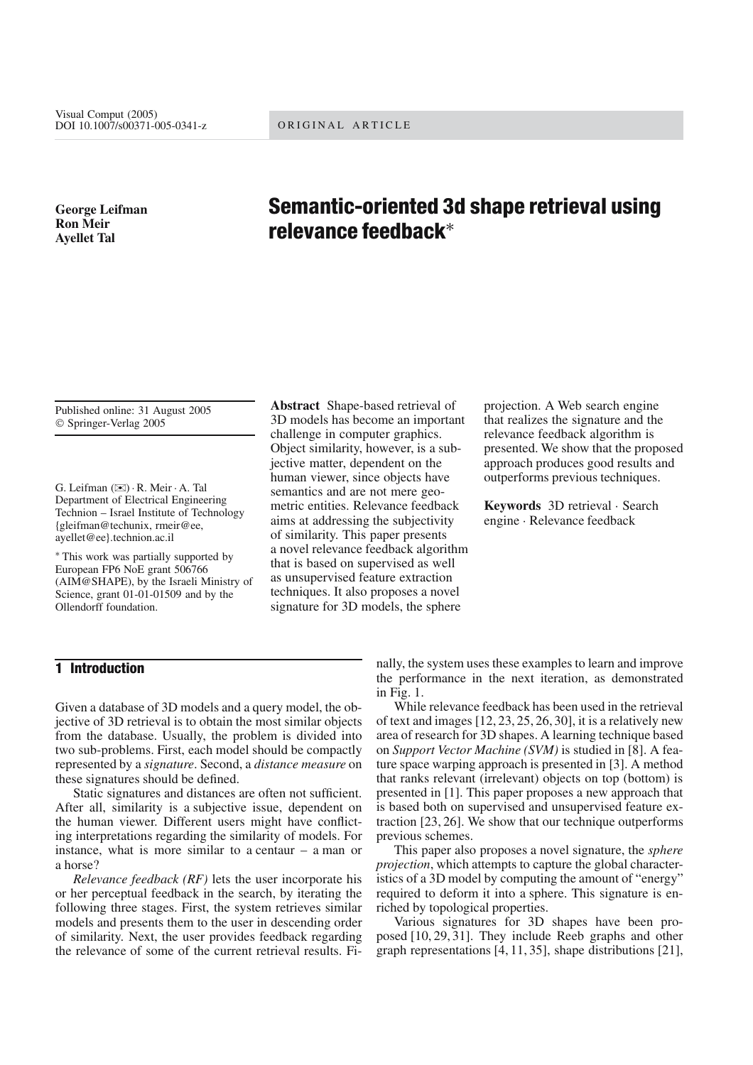**George Leifman Ron Meir Ayellet Tal**

# **Semantic-oriented 3d shape retrieval using relevance feedback**<sup>∗</sup>

Published online: 31 August 2005 © Springer-Verlag 2005

G. Leifman (✉)·R. Meir · A. Tal Department of Electrical Engineering Technion – Israel Institute of Technology {gleifman@techunix, rmeir@ee, ayellet@ee}.technion.ac.il

<sup>∗</sup> This work was partially supported by European FP6 NoE grant 506766 (AIM@SHAPE), by the Israeli Ministry of Science, grant 01-01-01509 and by the Ollendorff foundation.

**Abstract** Shape-based retrieval of 3D models has become an important challenge in computer graphics. Object similarity, however, is a subjective matter, dependent on the human viewer, since objects have semantics and are not mere geometric entities. Relevance feedback aims at addressing the subjectivity of similarity. This paper presents a novel relevance feedback algorithm that is based on supervised as well as unsupervised feature extraction techniques. It also proposes a novel signature for 3D models, the sphere

projection. A Web search engine that realizes the signature and the relevance feedback algorithm is presented. We show that the proposed approach produces good results and outperforms previous techniques.

**Keywords** 3D retrieval · Search engine · Relevance feedback

# **1 Introduction**

Given a database of 3D models and a query model, the objective of 3D retrieval is to obtain the most similar objects from the database. Usually, the problem is divided into two sub-problems. First, each model should be compactly represented by a *signature*. Second, a *distance measure* on these signatures should be defined.

Static signatures and distances are often not sufficient. After all, similarity is a subjective issue, dependent on the human viewer. Different users might have conflicting interpretations regarding the similarity of models. For instance, what is more similar to a centaur – a man or a horse?

*Relevance feedback (RF)* lets the user incorporate his or her perceptual feedback in the search, by iterating the following three stages. First, the system retrieves similar models and presents them to the user in descending order of similarity. Next, the user provides feedback regarding the relevance of some of the current retrieval results. Finally, the system uses these examples to learn and improve the performance in the next iteration, as demonstrated in Fig. 1.

While relevance feedback has been used in the retrieval of text and images [12, 23, 25, 26, 30], it is a relatively new area of research for 3D shapes. A learning technique based on *Support Vector Machine (SVM)* is studied in [8]. A feature space warping approach is presented in [3]. A method that ranks relevant (irrelevant) objects on top (bottom) is presented in [1]. This paper proposes a new approach that is based both on supervised and unsupervised feature extraction [23, 26]. We show that our technique outperforms previous schemes.

This paper also proposes a novel signature, the *sphere projection*, which attempts to capture the global characteristics of a 3D model by computing the amount of "energy" required to deform it into a sphere. This signature is enriched by topological properties.

Various signatures for 3D shapes have been proposed [10, 29, 31]. They include Reeb graphs and other graph representations [4, 11, 35], shape distributions [21],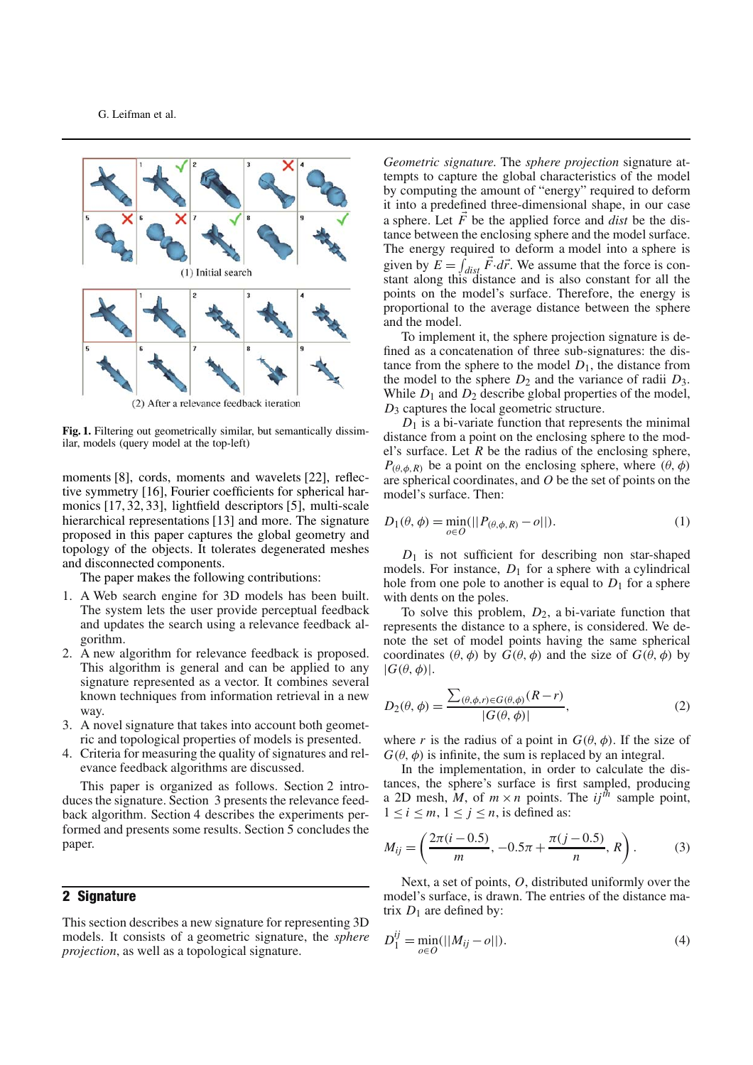

**Fig. 1.** Filtering out geometrically similar, but semantically dissimilar, models (query model at the top-left)

moments [8], cords, moments and wavelets [22], reflective symmetry [16], Fourier coefficients for spherical harmonics [17, 32, 33], lightfield descriptors [5], multi-scale hierarchical representations [13] and more. The signature proposed in this paper captures the global geometry and topology of the objects. It tolerates degenerated meshes and disconnected components.

The paper makes the following contributions:

- 1. A Web search engine for 3D models has been built. The system lets the user provide perceptual feedback and updates the search using a relevance feedback algorithm.
- 2. A new algorithm for relevance feedback is proposed. This algorithm is general and can be applied to any signature represented as a vector. It combines several known techniques from information retrieval in a new way.
- 3. A novel signature that takes into account both geometric and topological properties of models is presented.
- 4. Criteria for measuring the quality of signatures and relevance feedback algorithms are discussed.

This paper is organized as follows. Section 2 introduces the signature. Section 3 presents the relevance feedback algorithm. Section 4 describes the experiments performed and presents some results. Section 5 concludes the paper.

## **2 Signature**

This section describes a new signature for representing 3D models. It consists of a geometric signature, the *sphere projection*, as well as a topological signature.

*Geometric signature.* The *sphere projection* signature attempts to capture the global characteristics of the model by computing the amount of "energy" required to deform it into a predefined three-dimensional shape, in our case a sphere. Let  $\vec{F}$  be the applied force and *dist* be the distance between the enclosing sphere and the model surface. The energy required to deform a model into a sphere is given by  $\vec{E} = \int_{dist} \vec{F} \cdot d\vec{r}$ . We assume that the force is constant along this distance and is also constant for all the points on the model's surface. Therefore, the energy is proportional to the average distance between the sphere and the model.

To implement it, the sphere projection signature is defined as a concatenation of three sub-signatures: the distance from the sphere to the model  $D_1$ , the distance from the model to the sphere  $D_2$  and the variance of radii  $D_3$ . While  $D_1$  and  $D_2$  describe global properties of the model, *D*<sup>3</sup> captures the local geometric structure.

 $D_1$  is a bi-variate function that represents the minimal distance from a point on the enclosing sphere to the model's surface. Let *R* be the radius of the enclosing sphere,  $P_{(\theta,\phi,R)}$  be a point on the enclosing sphere, where  $(\theta,\phi)$ are spherical coordinates, and *O* be the set of points on the model's surface. Then:

$$
D_1(\theta, \phi) = \min_{o \in O} (||P_{(\theta, \phi, R)} - o||). \tag{1}
$$

 $D_1$  is not sufficient for describing non star-shaped models. For instance,  $D_1$  for a sphere with a cylindrical hole from one pole to another is equal to  $D_1$  for a sphere with dents on the poles.

To solve this problem, *D*2, a bi-variate function that represents the distance to a sphere, is considered. We denote the set of model points having the same spherical coordinates  $(\theta, \phi)$  by  $G(\theta, \phi)$  and the size of  $G(\theta, \phi)$  by  $|G(\theta, \phi)|$ .

$$
D_2(\theta, \phi) = \frac{\sum_{(\theta, \phi, r) \in G(\theta, \phi)} (R - r)}{|G(\theta, \phi)|},
$$
\n(2)

where *r* is the radius of a point in  $G(\theta, \phi)$ . If the size of  $G(\theta, \phi)$  is infinite, the sum is replaced by an integral.

In the implementation, in order to calculate the distances, the sphere's surface is first sampled, producing a 2D mesh, *M*, of  $m \times n$  points. The *ij*<sup>th</sup> sample point,  $1 \leq i \leq m, 1 \leq j \leq n$ , is defined as:

$$
M_{ij} = \left(\frac{2\pi(i-0.5)}{m}, -0.5\pi + \frac{\pi(j-0.5)}{n}, R\right). \tag{3}
$$

Next, a set of points, *O*, distributed uniformly over the model's surface, is drawn. The entries of the distance matrix  $D_1$  are defined by:

$$
D_1^{ij} = \min_{o \in O} (||M_{ij} - o||). \tag{4}
$$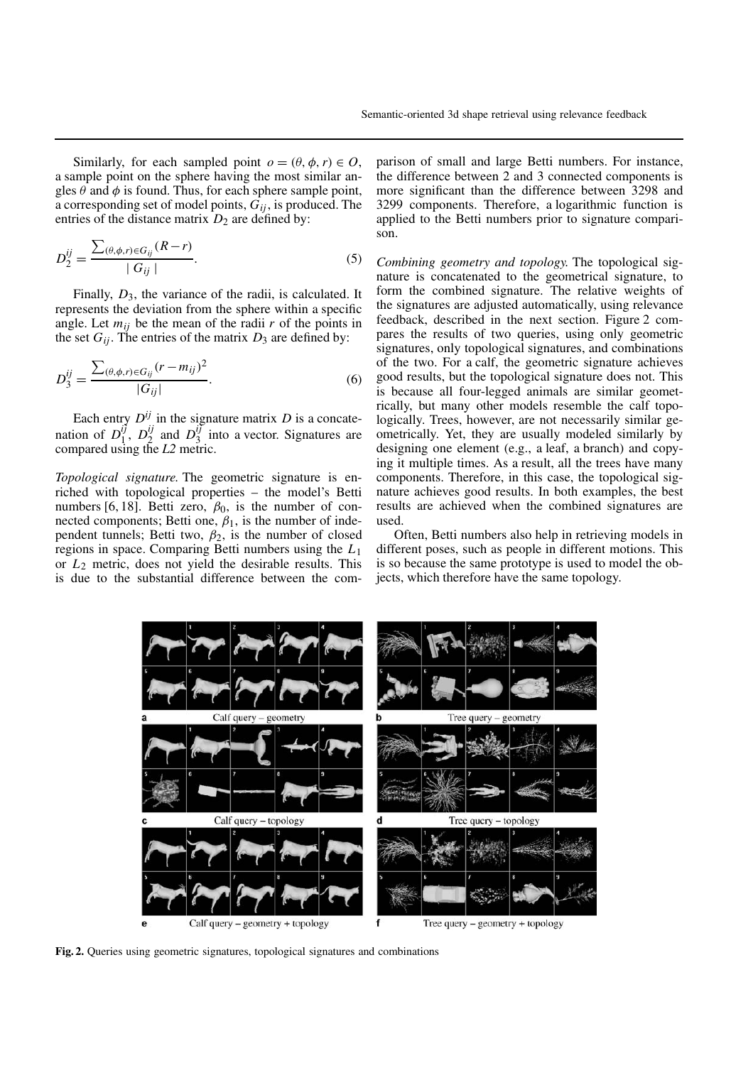Similarly, for each sampled point  $o = (\theta, \phi, r) \in O$ , a sample point on the sphere having the most similar angles  $\theta$  and  $\phi$  is found. Thus, for each sphere sample point, a corresponding set of model points, *Gij* , is produced. The entries of the distance matrix  $D_2$  are defined by:

$$
D_2^{ij} = \frac{\sum_{(\theta,\phi,r)\in G_{ij}} (R-r)}{|G_{ij}|}.
$$
\n
$$
(5)
$$

Finally,  $D_3$ , the variance of the radii, is calculated. It represents the deviation from the sphere within a specific angle. Let  $m_{ij}$  be the mean of the radii  $r$  of the points in the set  $G_{ij}$ . The entries of the matrix  $D_3$  are defined by:

$$
D_3^{ij} = \frac{\sum_{(\theta,\phi,r)\in G_{ij}} (r - m_{ij})^2}{|G_{ij}|}.
$$
 (6)

Each entry  $D^{ij}$  in the signature matrix  $D$  is a concatenation of  $D_1^{i\bar{j}}$ ,  $D_2^{i\bar{j}}$  and  $D_3^{i\bar{j}}$  into a vector. Signatures are compared using the *L2* metric.

*Topological signature.* The geometric signature is enriched with topological properties – the model's Betti numbers [6, 18]. Betti zero,  $\beta_0$ , is the number of connected components; Betti one,  $\beta_1$ , is the number of independent tunnels; Betti two,  $\beta_2$ , is the number of closed regions in space. Comparing Betti numbers using the *L*<sup>1</sup> or *L*<sup>2</sup> metric, does not yield the desirable results. This is due to the substantial difference between the comparison of small and large Betti numbers. For instance, the difference between 2 and 3 connected components is more significant than the difference between 3298 and 3299 components. Therefore, a logarithmic function is applied to the Betti numbers prior to signature comparison.

*Combining geometry and topology.* The topological signature is concatenated to the geometrical signature, to form the combined signature. The relative weights of the signatures are adjusted automatically, using relevance feedback, described in the next section. Figure 2 compares the results of two queries, using only geometric signatures, only topological signatures, and combinations of the two. For a calf, the geometric signature achieves good results, but the topological signature does not. This is because all four-legged animals are similar geometrically, but many other models resemble the calf topologically. Trees, however, are not necessarily similar geometrically. Yet, they are usually modeled similarly by designing one element (e.g., a leaf, a branch) and copying it multiple times. As a result, all the trees have many components. Therefore, in this case, the topological signature achieves good results. In both examples, the best results are achieved when the combined signatures are used.

Often, Betti numbers also help in retrieving models in different poses, such as people in different motions. This is so because the same prototype is used to model the objects, which therefore have the same topology.



**Fig. 2.** Queries using geometric signatures, topological signatures and combinations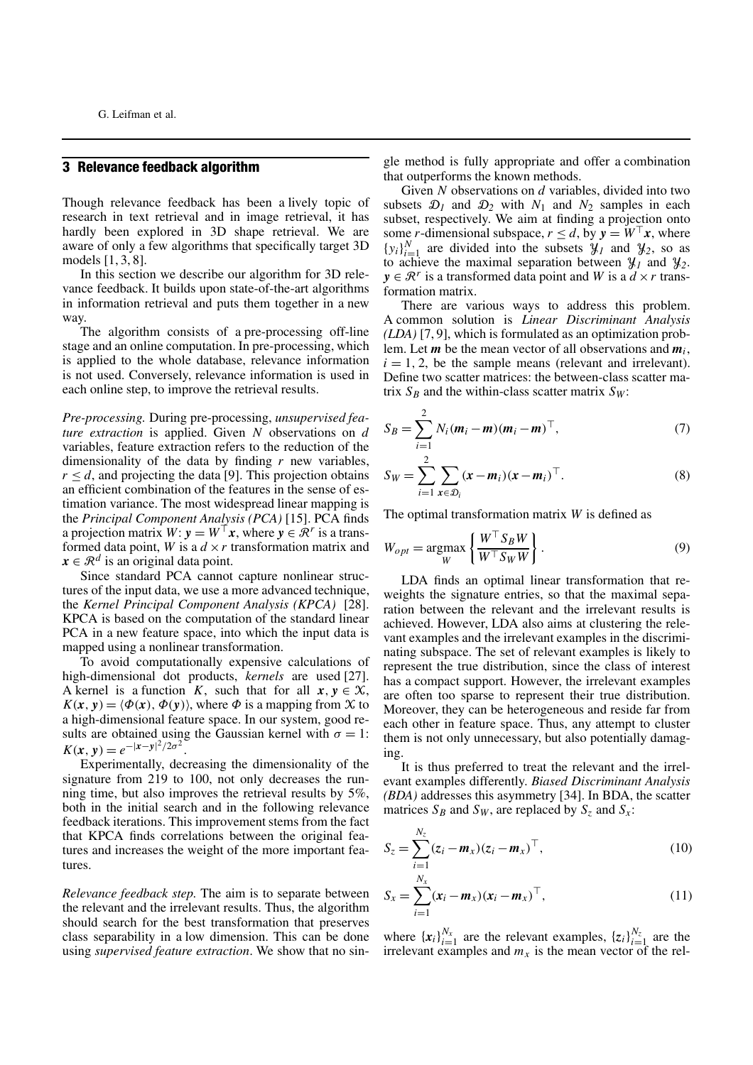G. Leifman et al.

## **3 Relevance feedback algorithm**

Though relevance feedback has been a lively topic of research in text retrieval and in image retrieval, it has hardly been explored in 3D shape retrieval. We are aware of only a few algorithms that specifically target 3D models [1, 3, 8].

In this section we describe our algorithm for 3D relevance feedback. It builds upon state-of-the-art algorithms in information retrieval and puts them together in a new way.

The algorithm consists of a pre-processing off-line stage and an online computation. In pre-processing, which is applied to the whole database, relevance information is not used. Conversely, relevance information is used in each online step, to improve the retrieval results.

*Pre-processing.* During pre-processing, *unsupervised feature extraction* is applied. Given *N* observations on *d* variables, feature extraction refers to the reduction of the dimensionality of the data by finding *r* new variables,  $r \leq d$ , and projecting the data [9]. This projection obtains an efficient combination of the features in the sense of estimation variance. The most widespread linear mapping is the *Principal Component Analysis (PCA)* [15]. PCA finds a projection matrix  $W: y = W^{\top}x$ , where  $y \in \mathcal{R}^r$  is a transformed data point, *W* is a  $d \times r$  transformation matrix and  $x \in \mathbb{R}^d$  is an original data point.

Since standard PCA cannot capture nonlinear structures of the input data, we use a more advanced technique, the *Kernel Principal Component Analysis (KPCA)* [28]. KPCA is based on the computation of the standard linear PCA in a new feature space, into which the input data is mapped using a nonlinear transformation.

To avoid computationally expensive calculations of high-dimensional dot products, *kernels* are used [27]. A kernel is a function *K*, such that for all  $x, y \in \mathcal{X}$ ,  $K(x, y) = \langle \Phi(x), \Phi(y) \rangle$ , where  $\Phi$  is a mapping from X to a high-dimensional feature space. In our system, good results are obtained using the Gaussian kernel with  $\sigma = 1$ :  $K(x, y) = e^{-|x-y|^2/2\sigma^2}$ .

Experimentally, decreasing the dimensionality of the signature from 219 to 100, not only decreases the running time, but also improves the retrieval results by 5%, both in the initial search and in the following relevance feedback iterations. This improvement stems from the fact that KPCA finds correlations between the original features and increases the weight of the more important features.

*Relevance feedback step.* The aim is to separate between the relevant and the irrelevant results. Thus, the algorithm should search for the best transformation that preserves class separability in a low dimension. This can be done using *supervised feature extraction*. We show that no sin-

gle method is fully appropriate and offer a combination that outperforms the known methods.

Given *N* observations on *d* variables, divided into two subsets  $\mathcal{D}_1$  and  $\mathcal{D}_2$  with  $N_1$  and  $N_2$  samples in each subset, respectively. We aim at finding a projection onto some *r*-dimensional subspace,  $r \le d$ , by  $y = W^\top x$ , where  $\{y_i\}_{i=1}^N$  are divided into the subsets  $y_i$  and  $y_2$ , so as to achieve the maximal separation between  $\mathcal{Y}_1$  and  $\mathcal{Y}_2$ .  $y \in \mathbb{R}^r$  is a transformed data point and *W* is a  $d \times r$  transformation matrix.

There are various ways to address this problem. A common solution is *Linear Discriminant Analysis (LDA)* [7, 9], which is formulated as an optimization problem. Let *m* be the mean vector of all observations and *mi*,  $i = 1, 2$ , be the sample means (relevant and irrelevant). Define two scatter matrices: the between-class scatter matrix  $S_B$  and the within-class scatter matrix  $S_W$ :

$$
S_B = \sum_{i=1}^{2} N_i (\boldsymbol{m}_i - \boldsymbol{m}) (\boldsymbol{m}_i - \boldsymbol{m})^\top, \tag{7}
$$

$$
S_W = \sum_{i=1}^{2} \sum_{\mathbf{x} \in \mathcal{D}_i} (\mathbf{x} - \mathbf{m}_i) (\mathbf{x} - \mathbf{m}_i)^\top.
$$
 (8)

The optimal transformation matrix *W* is defined as

$$
W_{opt} = \underset{W}{\text{argmax}} \left\{ \frac{W^{\top} S_B W}{W^{\top} S_W W} \right\}.
$$
 (9)

LDA finds an optimal linear transformation that reweights the signature entries, so that the maximal separation between the relevant and the irrelevant results is achieved. However, LDA also aims at clustering the relevant examples and the irrelevant examples in the discriminating subspace. The set of relevant examples is likely to represent the true distribution, since the class of interest has a compact support. However, the irrelevant examples are often too sparse to represent their true distribution. Moreover, they can be heterogeneous and reside far from each other in feature space. Thus, any attempt to cluster them is not only unnecessary, but also potentially damaging.

It is thus preferred to treat the relevant and the irrelevant examples differently. *Biased Discriminant Analysis (BDA)* addresses this asymmetry [34]. In BDA, the scatter matrices  $S_B$  and  $S_W$ , are replaced by  $S_z$  and  $S_x$ :

$$
S_z = \sum_{i=1}^{N_z} (z_i - m_x)(z_i - m_x)^\top,
$$
\n(10)

$$
S_x = \sum_{i=1}^{N_x} (\mathbf{x}_i - \mathbf{m}_x)(\mathbf{x}_i - \mathbf{m}_x)^\top,
$$
\n(11)

where  $\{x_i\}_{i=1}^{N_x}$  are the relevant examples,  $\{z_i\}_{i=1}^{N_z}$  are the irrelevant examples and  $m<sub>x</sub>$  is the mean vector of the rel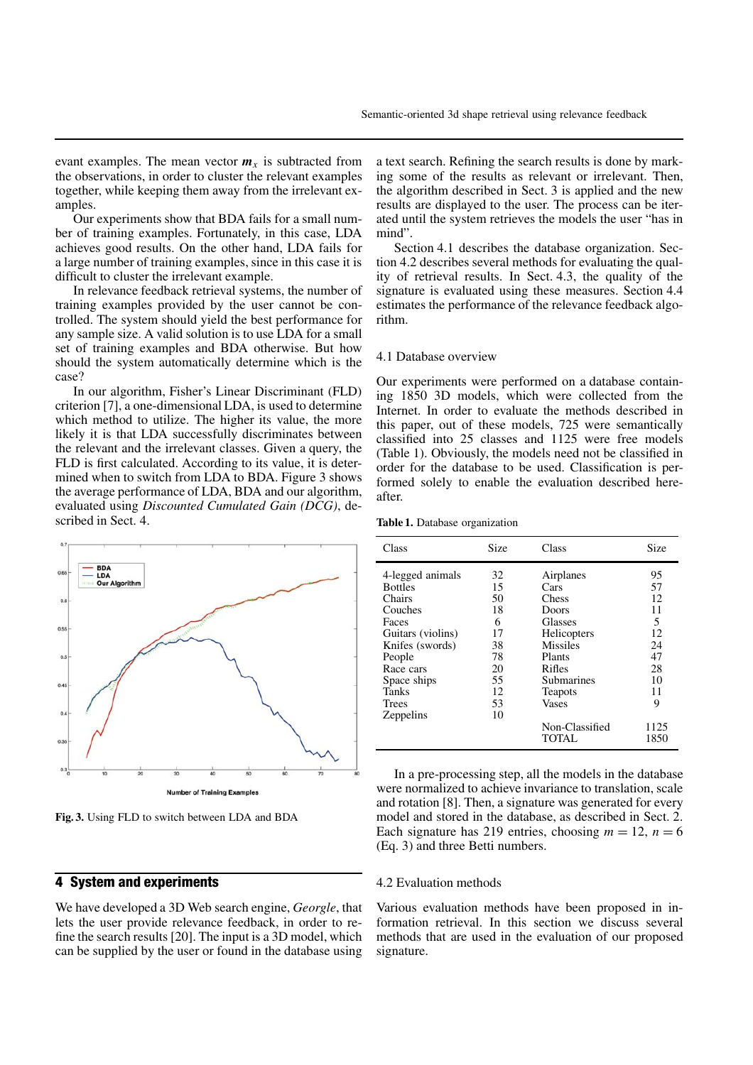evant examples. The mean vector  $m<sub>x</sub>$  is subtracted from the observations, in order to cluster the relevant examples together, while keeping them away from the irrelevant examples.

Our experiments show that BDA fails for a small number of training examples. Fortunately, in this case, LDA achieves good results. On the other hand, LDA fails for a large number of training examples, since in this case it is difficult to cluster the irrelevant example.

In relevance feedback retrieval systems, the number of training examples provided by the user cannot be controlled. The system should yield the best performance for any sample size. A valid solution is to use LDA for a small set of training examples and BDA otherwise. But how should the system automatically determine which is the case?

In our algorithm, Fisher's Linear Discriminant (FLD) criterion [7], a one-dimensional LDA, is used to determine which method to utilize. The higher its value, the more likely it is that LDA successfully discriminates between the relevant and the irrelevant classes. Given a query, the FLD is first calculated. According to its value, it is determined when to switch from LDA to BDA. Figure 3 shows the average performance of LDA, BDA and our algorithm, evaluated using *Discounted Cumulated Gain (DCG)*, described in Sect. 4.



**Fig. 3.** Using FLD to switch between LDA and BDA

## **4 System and experiments**

We have developed a 3D Web search engine, *Georgle*, that lets the user provide relevance feedback, in order to refine the search results [20]. The input is a 3D model, which can be supplied by the user or found in the database using a text search. Refining the search results is done by marking some of the results as relevant or irrelevant. Then, the algorithm described in Sect. 3 is applied and the new results are displayed to the user. The process can be iterated until the system retrieves the models the user "has in mind".

Section 4.1 describes the database organization. Section 4.2 describes several methods for evaluating the quality of retrieval results. In Sect. 4.3, the quality of the signature is evaluated using these measures. Section 4.4 estimates the performance of the relevance feedback algorithm.

#### 4.1 Database overview

Our experiments were performed on a database containing 1850 3D models, which were collected from the Internet. In order to evaluate the methods described in this paper, out of these models, 725 were semantically classified into 25 classes and 1125 were free models (Table 1). Obviously, the models need not be classified in order for the database to be used. Classification is performed solely to enable the evaluation described hereafter.

| Table 1. Database organization |  |
|--------------------------------|--|
|--------------------------------|--|

| Class             | Size | Class           | Size |
|-------------------|------|-----------------|------|
| 4-legged animals  | 32   | Airplanes       | 95   |
| <b>Bottles</b>    | 15   | Cars            | 57   |
| Chairs            | 50   | Chess           | 12   |
| Couches           | 18   | Doors           | 11   |
| Faces             | 6    | Glasses         | 5    |
| Guitars (violins) | 17   | Helicopters     | 12   |
| Knifes (swords)   | 38   | <b>Missiles</b> | 24   |
| People            | 78   | Plants          | 47   |
| Race cars         | 20   | Rifles          | 28   |
| Space ships       | 55   | Submarines      | 10   |
| <b>Tanks</b>      | 12   | <b>Teapots</b>  | 11   |
| Trees             | 53   | <b>Vases</b>    | 9    |
| <b>Zeppelins</b>  | 10   |                 |      |
|                   |      | Non-Classified  | 1125 |
|                   |      | TOTAL           | 1850 |

In a pre-processing step, all the models in the database were normalized to achieve invariance to translation, scale and rotation [8]. Then, a signature was generated for every model and stored in the database, as described in Sect. 2. Each signature has 219 entries, choosing  $m = 12$ ,  $n = 6$ (Eq. 3) and three Betti numbers.

#### 4.2 Evaluation methods

Various evaluation methods have been proposed in information retrieval. In this section we discuss several methods that are used in the evaluation of our proposed signature.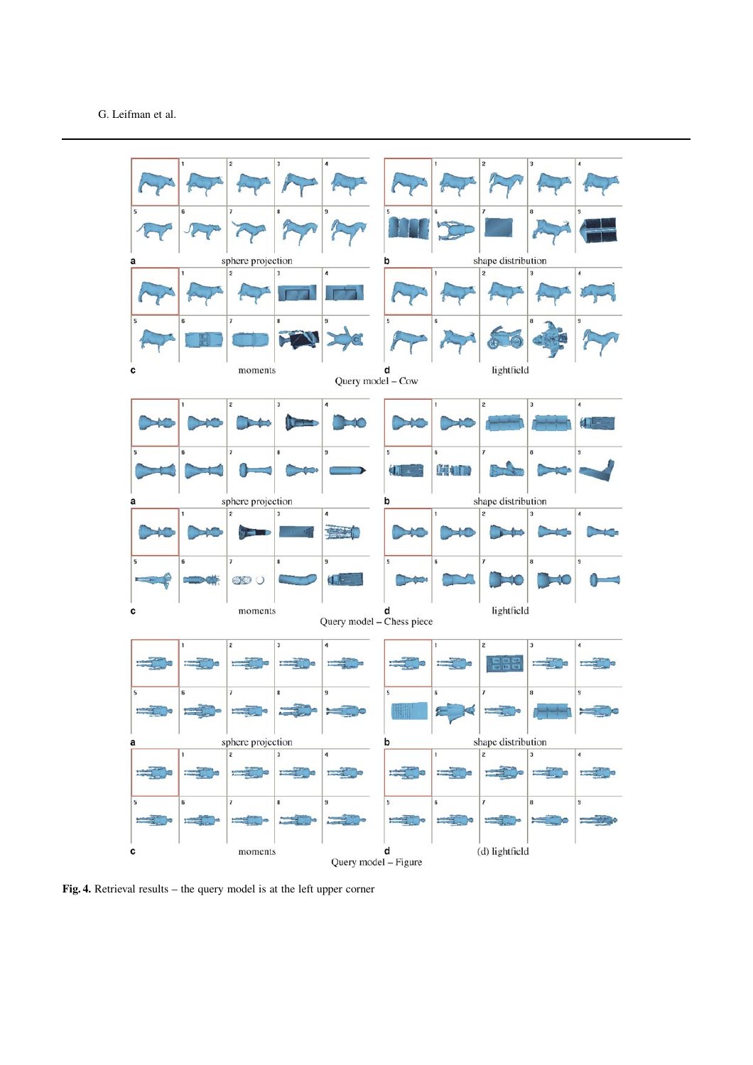## G. Leifman et al.



**Fig. 4.** Retrieval results – the query model is at the left upper corner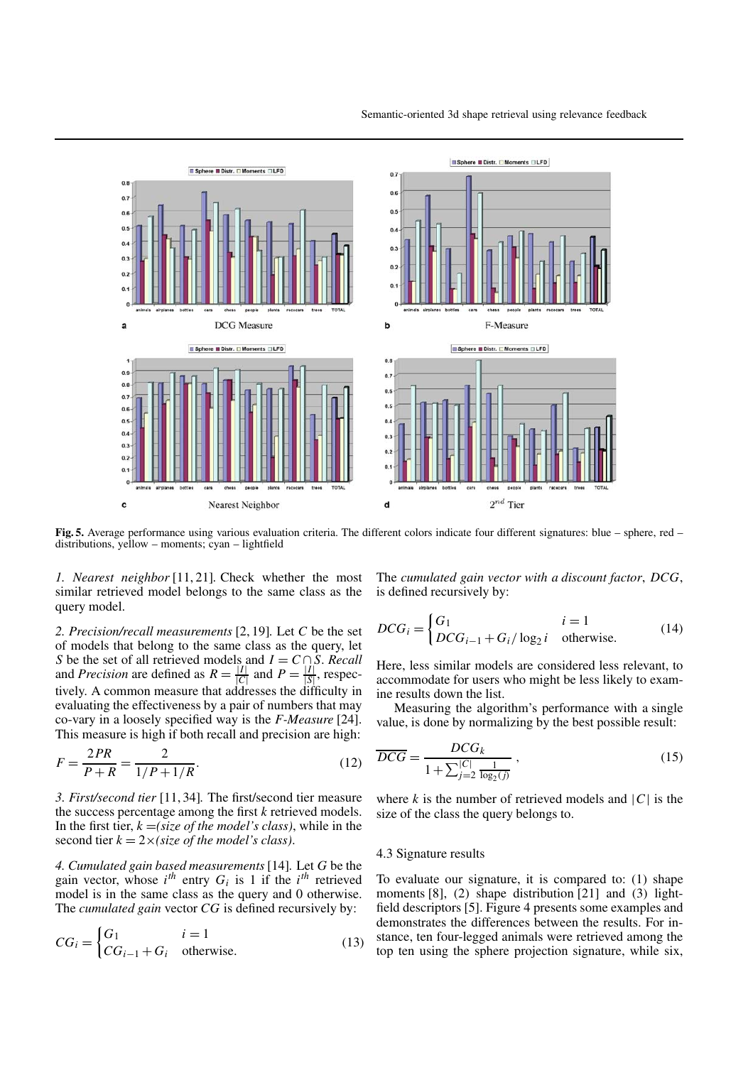

**Fig. 5.** Average performance using various evaluation criteria. The different colors indicate four different signatures: blue – sphere, red – distributions, yellow – moments; cyan – lightfield

*1. Nearest neighbor* [11, 21]*.* Check whether the most similar retrieved model belongs to the same class as the query model.

*2. Precision/recall measurements* [2, 19]*.* Let *C* be the set of models that belong to the same class as the query, let *S* be the set of all retrieved models and *I* = *C* ∩ *S*. *Recall* and *Precision* are defined as  $R = \frac{|I|}{|C|}$  and  $P = \frac{|I|}{|S|}$ , respectively. A common measure that addresses the difficulty in evaluating the effectiveness by a pair of numbers that may co-vary in a loosely specified way is the *F-Measure* [24]. This measure is high if both recall and precision are high:

$$
F = \frac{2PR}{P + R} = \frac{2}{1/P + 1/R}.
$$
\n(12)

*3. First/second tier* [11, 34]*.* The first/second tier measure the success percentage among the first *k* retrieved models. In the first tier,  $k = (size \ of \ the \ model's \ class)$ , while in the second tier  $k = 2 \times (size\ of\ the\ model\'s\ class).$ 

*4. Cumulated gain based measurements*[14]*.* Let *G* be the gain vector, whose  $i^{th}$  entry  $G_i$  is 1 if the  $i^{th}$  retrieved model is in the same class as the query and 0 otherwise. The *cumulated gain* vector *CG* is defined recursively by:

$$
CG_i = \begin{cases} G_1 & i = 1 \\ CG_{i-1} + G_i & \text{otherwise.} \end{cases}
$$
 (13)

The *cumulated gain vector with a discount factor*, *DCG*, is defined recursively by:

$$
DCG_i = \begin{cases} G_1 & i = 1 \\ DCG_{i-1} + G_i / \log_2 i & \text{otherwise.} \end{cases}
$$
 (14)

Here, less similar models are considered less relevant, to accommodate for users who might be less likely to examine results down the list.

Measuring the algorithm's performance with a single value, is done by normalizing by the best possible result:

$$
\overline{DCG} = \frac{DCG_k}{1 + \sum_{j=2}^{|C|} \frac{1}{\log_2(j)}} ,
$$
\n(15)

where  $k$  is the number of retrieved models and  $|C|$  is the size of the class the query belongs to.

#### 4.3 Signature results

To evaluate our signature, it is compared to: (1) shape moments [8], (2) shape distribution [21] and (3) lightfield descriptors [5]. Figure 4 presents some examples and demonstrates the differences between the results. For instance, ten four-legged animals were retrieved among the top ten using the sphere projection signature, while six,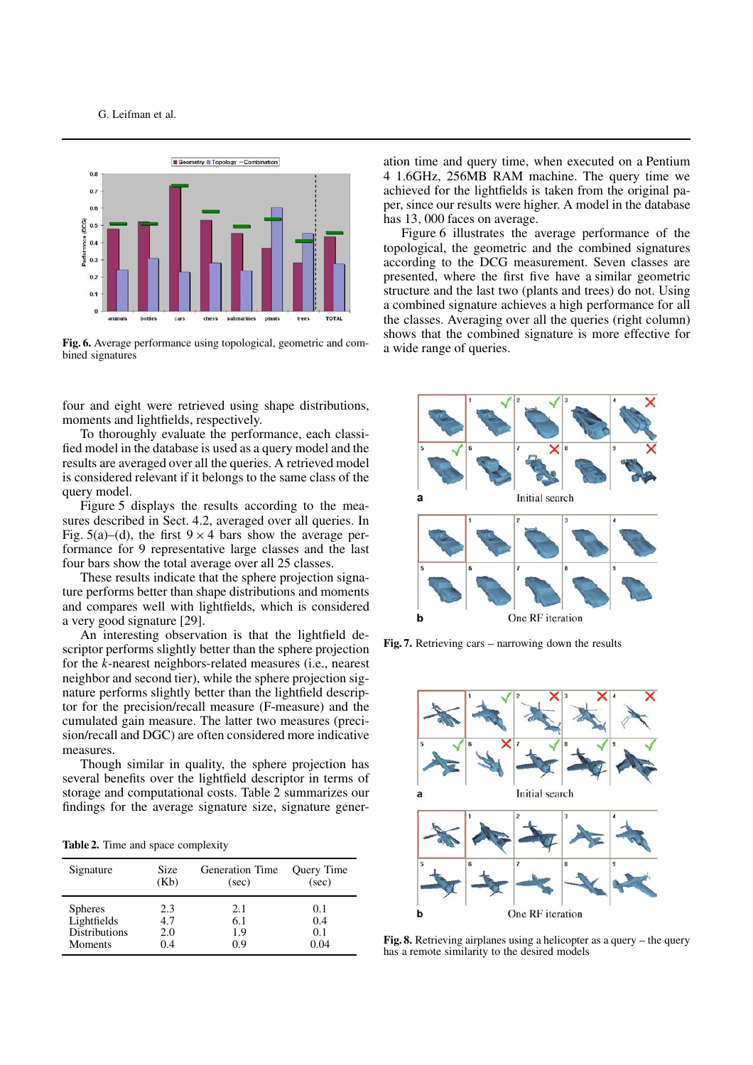

**Fig. 6.** Average performance using topological, geometric and combined signatures

four and eight were retrieved using shape distributions, moments and lightfields, respectively.

To thoroughly evaluate the performance, each classified model in the database is used as a query model and the results are averaged over all the queries. A retrieved model is considered relevant if it belongs to the same class of the query model.

Figure 5 displays the results according to the measures described in Sect. 4.2, averaged over all queries. In Fig. 5(a)–(d), the first  $9 \times 4$  bars show the average performance for 9 representative large classes and the last four bars show the total average over all 25 classes.

These results indicate that the sphere projection signature performs better than shape distributions and moments and compares well with lightfields, which is considered a very good signature [29].

An interesting observation is that the lightfield descriptor performs slightly better than the sphere projection for the *k*-nearest neighbors-related measures (i.e., nearest neighbor and second tier), while the sphere projection signature performs slightly better than the lightfield descriptor for the precision/recall measure (F-measure) and the cumulated gain measure. The latter two measures (precision/recall and DGC) are often considered more indicative measures.

Though similar in quality, the sphere projection has several benefits over the lightfield descriptor in terms of storage and computational costs. Table 2 summarizes our findings for the average signature size, signature gener-

**Table 2.** Time and space complexity

| Signature            | Size | <b>Generation Time</b> | Query Time |
|----------------------|------|------------------------|------------|
|                      | (Kb) | (sec)                  | (sec)      |
| <b>Spheres</b>       | 2.3  | 2.1                    | 0.1        |
| Lightfields          | 4.7  | 6.1                    | 0.4        |
| <b>Distributions</b> | 2.0  | 1.9                    | 0.1        |
| Moments              | 0.4  | ი ფ                    | 0.04       |

ation time and query time, when executed on a Pentium 4 1.6GHz, 256MB RAM machine. The query time we achieved for the lightfields is taken from the original paper, since our results were higher. A model in the database has 13, 000 faces on average.

Figure 6 illustrates the average performance of the topological, the geometric and the combined signatures according to the DCG measurement. Seven classes are presented, where the first five have a similar geometric structure and the last two (plants and trees) do not. Using a combined signature achieves a high performance for all the classes. Averaging over all the queries (right column) shows that the combined signature is more effective for a wide range of queries.



**Fig. 7.** Retrieving cars – narrowing down the results



**Fig. 8.** Retrieving airplanes using a helicopter as a query – the query has a remote similarity to the desired models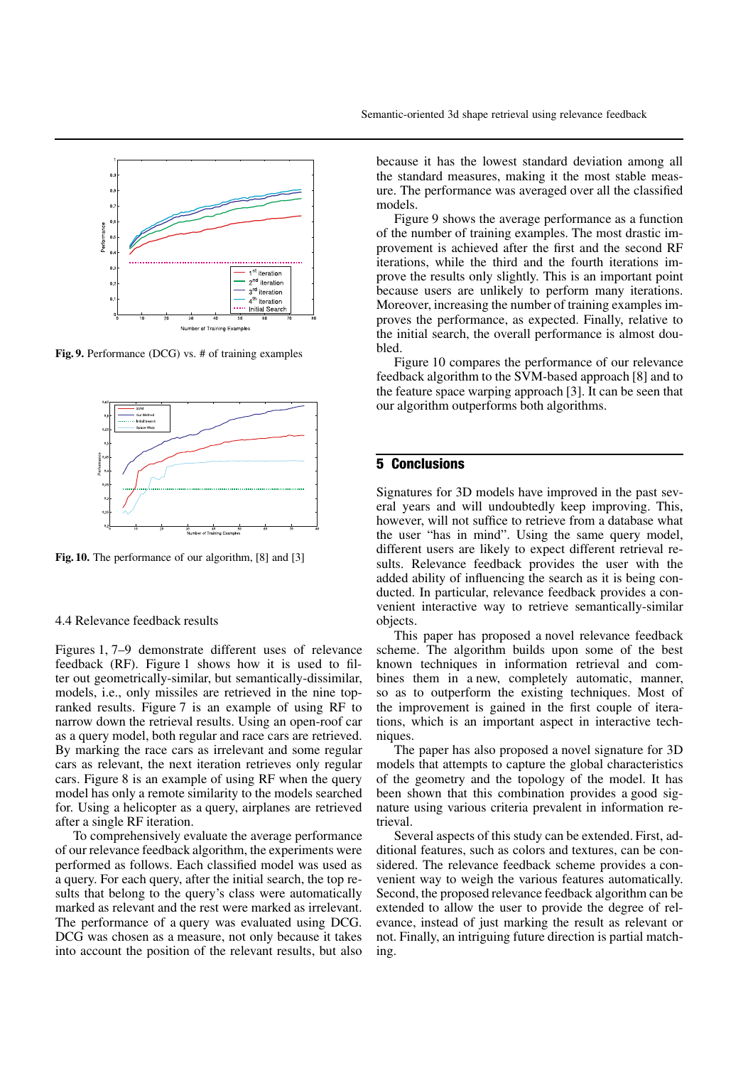

**Fig. 9.** Performance (DCG) vs. # of training examples



**Fig. 10.** The performance of our algorithm, [8] and [3]

#### 4.4 Relevance feedback results

Figures 1, 7–9 demonstrate different uses of relevance feedback (RF). Figure 1 shows how it is used to filter out geometrically-similar, but semantically-dissimilar, models, i.e., only missiles are retrieved in the nine topranked results. Figure 7 is an example of using RF to narrow down the retrieval results. Using an open-roof car as a query model, both regular and race cars are retrieved. By marking the race cars as irrelevant and some regular cars as relevant, the next iteration retrieves only regular cars. Figure 8 is an example of using RF when the query model has only a remote similarity to the models searched for. Using a helicopter as a query, airplanes are retrieved after a single RF iteration.

To comprehensively evaluate the average performance of our relevance feedback algorithm, the experiments were performed as follows. Each classified model was used as a query. For each query, after the initial search, the top results that belong to the query's class were automatically marked as relevant and the rest were marked as irrelevant. The performance of a query was evaluated using DCG. DCG was chosen as a measure, not only because it takes into account the position of the relevant results, but also because it has the lowest standard deviation among all the standard measures, making it the most stable measure. The performance was averaged over all the classified models.

Figure 9 shows the average performance as a function of the number of training examples. The most drastic improvement is achieved after the first and the second RF iterations, while the third and the fourth iterations improve the results only slightly. This is an important point because users are unlikely to perform many iterations. Moreover, increasing the number of training examples improves the performance, as expected. Finally, relative to the initial search, the overall performance is almost doubled.

Figure 10 compares the performance of our relevance feedback algorithm to the SVM-based approach [8] and to the feature space warping approach [3]. It can be seen that our algorithm outperforms both algorithms.

## **5 Conclusions**

Signatures for 3D models have improved in the past several years and will undoubtedly keep improving. This, however, will not suffice to retrieve from a database what the user "has in mind". Using the same query model, different users are likely to expect different retrieval results. Relevance feedback provides the user with the added ability of influencing the search as it is being conducted. In particular, relevance feedback provides a convenient interactive way to retrieve semantically-similar objects.

This paper has proposed a novel relevance feedback scheme. The algorithm builds upon some of the best known techniques in information retrieval and combines them in a new, completely automatic, manner, so as to outperform the existing techniques. Most of the improvement is gained in the first couple of iterations, which is an important aspect in interactive techniques.

The paper has also proposed a novel signature for 3D models that attempts to capture the global characteristics of the geometry and the topology of the model. It has been shown that this combination provides a good signature using various criteria prevalent in information retrieval.

Several aspects of this study can be extended. First, additional features, such as colors and textures, can be considered. The relevance feedback scheme provides a convenient way to weigh the various features automatically. Second, the proposed relevance feedback algorithm can be extended to allow the user to provide the degree of relevance, instead of just marking the result as relevant or not. Finally, an intriguing future direction is partial matching.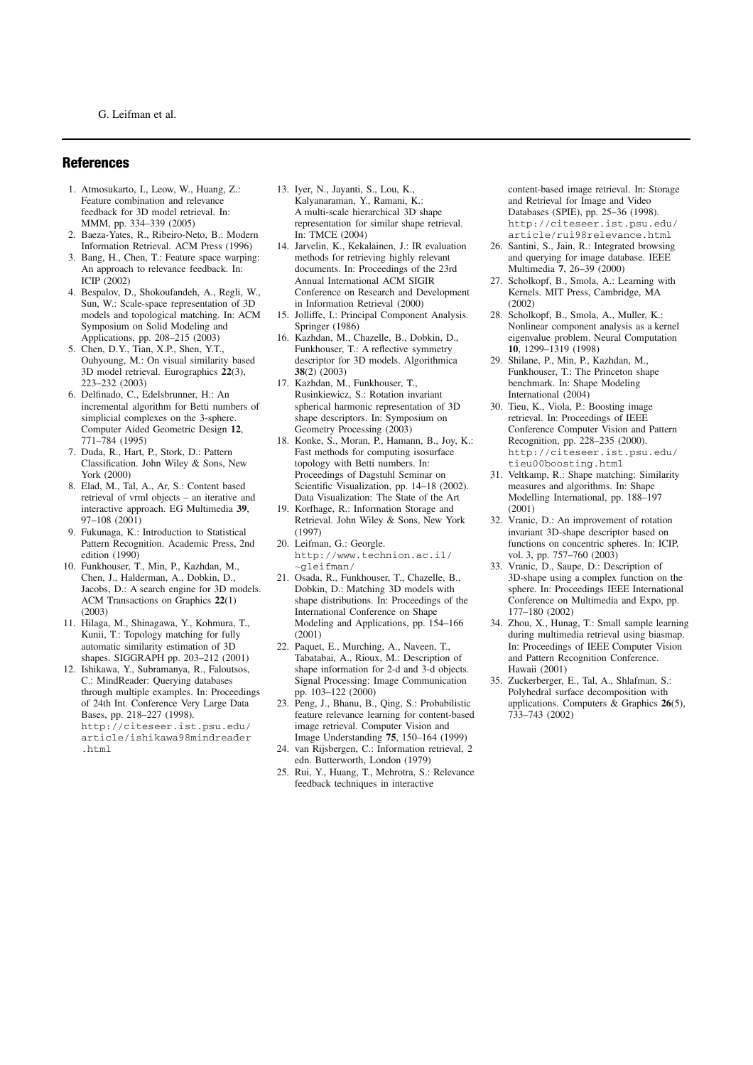### **References**

- 1. Atmosukarto, I., Leow, W., Huang, Z.: Feature combination and relevance feedback for 3D model retrieval. In: MMM, pp. 334–339 (2005)
- 2. Baeza-Yates, R., Ribeiro-Neto, B.: Modern Information Retrieval. ACM Press (1996)
- 3. Bang, H., Chen, T.: Feature space warping: An approach to relevance feedback. In: ICIP (2002)
- 4. Bespalov, D., Shokoufandeh, A., Regli, W., Sun, W.: Scale-space representation of 3D models and topological matching. In: ACM Symposium on Solid Modeling and Applications, pp. 208–215 (2003)
- 5. Chen, D.Y., Tian, X.P., Shen, Y.T., Ouhyoung, M.: On visual similarity based 3D model retrieval. Eurographics **22**(3), 223–232 (2003)
- 6. Delfinado, C., Edelsbrunner, H.: An incremental algorithm for Betti numbers of simplicial complexes on the 3-sphere. Computer Aided Geometric Design **12**, 771–784 (1995)
- 7. Duda, R., Hart, P., Stork, D.: Pattern Classification. John Wiley & Sons, New York (2000)
- 8. Elad, M., Tal, A., Ar, S.: Content based retrieval of vrml objects – an iterative and interactive approach. EG Multimedia **39**, 97–108 (2001)
- 9. Fukunaga, K.: Introduction to Statistical Pattern Recognition. Academic Press, 2nd edition (1990)
- 10. Funkhouser, T., Min, P., Kazhdan, M., Chen, J., Halderman, A., Dobkin, D., Jacobs, D.: A search engine for 3D models. ACM Transactions on Graphics **22**(1) (2003)
- 11. Hilaga, M., Shinagawa, Y., Kohmura, T., Kunii, T.: Topology matching for fully automatic similarity estimation of 3D shapes. SIGGRAPH pp. 203–212 (2001)
- 12. Ishikawa, Y., Subramanya, R., Faloutsos, C.: MindReader: Querying databases through multiple examples. In: Proceedings of 24th Int. Conference Very Large Data Bases, pp. 218–227 (1998). http://citeseer.ist.psu.edu/ article/ishikawa98mindreader .html
- 13. Iyer, N., Jayanti, S., Lou, K., Kalyanaraman, Y., Ramani, K.: A multi-scale hierarchical 3D shape representation for similar shape retrieval. In: TMCE (2004)
- 14. Jarvelin, K., Kekalainen, J.: IR evaluation methods for retrieving highly relevant documents. In: Proceedings of the 23rd Annual International ACM SIGIR Conference on Research and Development in Information Retrieval (2000)
- 15. Jolliffe, I.: Principal Component Analysis. Springer (1986)
- 16. Kazhdan, M., Chazelle, B., Dobkin, D., Funkhouser, T.: A reflective symmetry descriptor for 3D models. Algorithmica **38**(2) (2003)
- 17. Kazhdan, M., Funkhouser, T., Rusinkiewicz, S.: Rotation invariant spherical harmonic representation of 3D shape descriptors. In: Symposium on Geometry Processing (2003)
- 18. Konke, S., Moran, P., Hamann, B., Joy, K.: Fast methods for computing isosurface topology with Betti numbers. In: Proceedings of Dagstuhl Seminar on Scientific Visualization, pp. 14–18 (2002). Data Visualization: The State of the Art
- 19. Korfhage, R.: Information Storage and Retrieval. John Wiley & Sons, New York (1997)
- 20. Leifman, G.: Georgle. http://www.technion.ac.il/ ∼gleifman/
- 21. Osada, R., Funkhouser, T., Chazelle, B., Dobkin, D.: Matching 3D models with shape distributions. In: Proceedings of the International Conference on Shape Modeling and Applications, pp. 154–166 (2001)
- 22. Paquet, E., Murching, A., Naveen, T., Tabatabai, A., Rioux, M.: Description of shape information for 2-d and 3-d objects. Signal Processing: Image Communication pp. 103–122 (2000)
- 23. Peng, J., Bhanu, B., Qing, S.: Probabilistic feature relevance learning for content-based image retrieval. Computer Vision and Image Understanding **75**, 150–164 (1999)
- 24. van Rijsbergen, C.: Information retrieval, 2 edn. Butterworth, London (1979)
- 25. Rui, Y., Huang, T., Mehrotra, S.: Relevance feedback techniques in interactive

content-based image retrieval. In: Storage and Retrieval for Image and Video Databases (SPIE), pp. 25–36 (1998). http://citeseer.ist.psu.edu/ article/rui98relevance.html

- 26. Santini, S., Jain, R.: Integrated browsing and querying for image database. IEEE Multimedia **7**, 26–39 (2000)
- 27. Scholkopf, B., Smola, A.: Learning with Kernels. MIT Press, Cambridge, MA (2002)
- 28. Scholkopf, B., Smola, A., Muller, K.: Nonlinear component analysis as a kernel eigenvalue problem. Neural Computation **10**, 1299–1319 (1998)
- 29. Shilane, P., Min, P., Kazhdan, M., Funkhouser, T.: The Princeton shape benchmark. In: Shape Modeling International (2004)
- 30. Tieu, K., Viola, P.: Boosting image retrieval. In: Proceedings of IEEE Conference Computer Vision and Pattern Recognition, pp. 228–235 (2000). http://citeseer.ist.psu.edu/ tieu00boosting.html
- 31. Veltkamp, R.: Shape matching: Similarity measures and algorithms. In: Shape Modelling International, pp. 188–197  $(2001)$
- 32. Vranic, D.: An improvement of rotation invariant 3D-shape descriptor based on functions on concentric spheres. In: ICIP, vol. 3, pp. 757–760 (2003)
- 33. Vranic, D., Saupe, D.: Description of 3D-shape using a complex function on the sphere. In: Proceedings IEEE International Conference on Multimedia and Expo, pp. 177–180 (2002)
- 34. Zhou, X., Hunag, T.: Small sample learning during multimedia retrieval using biasmap. In: Proceedings of IEEE Computer Vision and Pattern Recognition Conference. Hawaii (2001)
- 35. Zuckerberger, E., Tal, A., Shlafman, S.: Polyhedral surface decomposition with applications. Computers & Graphics **26**(5), 733–743 (2002)